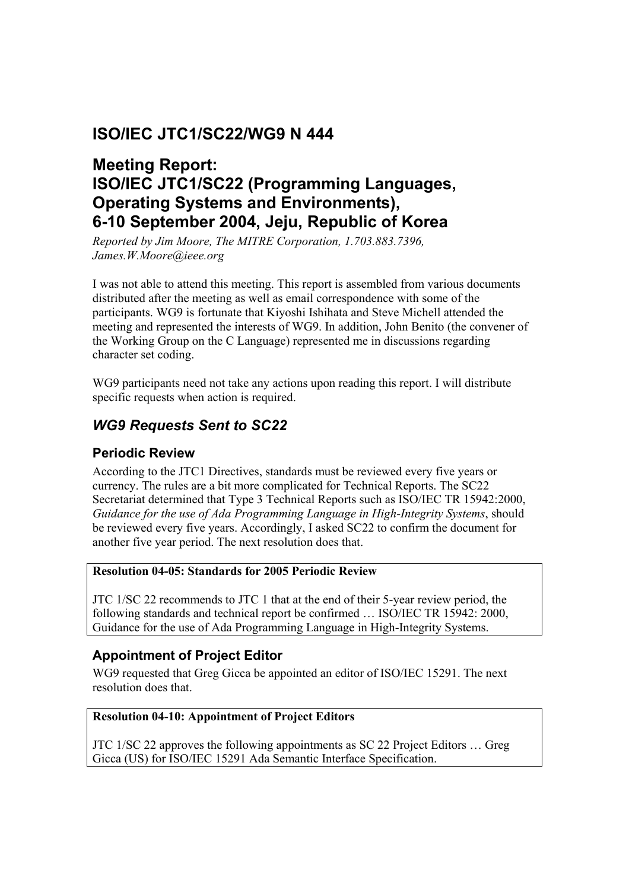# **ISO/IEC JTC1/SC22/WG9 N 444**

# **Meeting Report: ISO/IEC JTC1/SC22 (Programming Languages, Operating Systems and Environments), 6-10 September 2004, Jeju, Republic of Korea**

*Reported by Jim Moore, The MITRE Corporation, 1.703.883.7396, James.W.Moore@ieee.org* 

I was not able to attend this meeting. This report is assembled from various documents distributed after the meeting as well as email correspondence with some of the participants. WG9 is fortunate that Kiyoshi Ishihata and Steve Michell attended the meeting and represented the interests of WG9. In addition, John Benito (the convener of the Working Group on the C Language) represented me in discussions regarding character set coding.

WG9 participants need not take any actions upon reading this report. I will distribute specific requests when action is required.

# *WG9 Requests Sent to SC22*

### **Periodic Review**

According to the JTC1 Directives, standards must be reviewed every five years or currency. The rules are a bit more complicated for Technical Reports. The SC22 Secretariat determined that Type 3 Technical Reports such as ISO/IEC TR 15942:2000, *Guidance for the use of Ada Programming Language in High-Integrity Systems*, should be reviewed every five years. Accordingly, I asked SC22 to confirm the document for another five year period. The next resolution does that.

#### **Resolution 04-05: Standards for 2005 Periodic Review**

JTC 1/SC 22 recommends to JTC 1 that at the end of their 5-year review period, the following standards and technical report be confirmed … ISO/IEC TR 15942: 2000, Guidance for the use of Ada Programming Language in High-Integrity Systems.

### **Appointment of Project Editor**

WG9 requested that Greg Gicca be appointed an editor of ISO/IEC 15291. The next resolution does that.

#### **Resolution 04-10: Appointment of Project Editors**

JTC 1/SC 22 approves the following appointments as SC 22 Project Editors … Greg Gicca (US) for ISO/IEC 15291 Ada Semantic Interface Specification.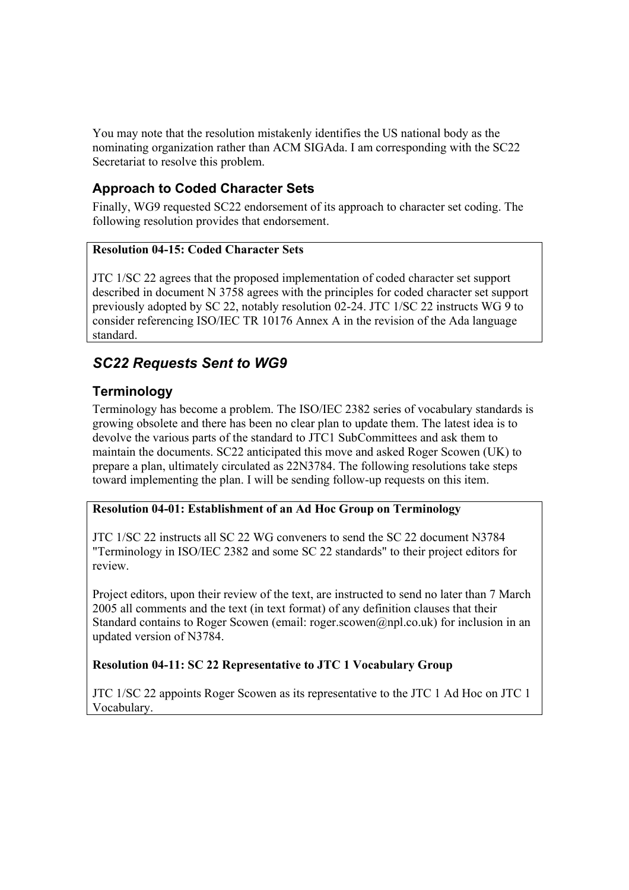You may note that the resolution mistakenly identifies the US national body as the nominating organization rather than ACM SIGAda. I am corresponding with the SC22 Secretariat to resolve this problem.

### **Approach to Coded Character Sets**

Finally, WG9 requested SC22 endorsement of its approach to character set coding. The following resolution provides that endorsement.

#### **Resolution 04-15: Coded Character Sets**

JTC 1/SC 22 agrees that the proposed implementation of coded character set support described in document N 3758 agrees with the principles for coded character set support previously adopted by SC 22, notably resolution 02-24. JTC 1/SC 22 instructs WG 9 to consider referencing ISO/IEC TR 10176 Annex A in the revision of the Ada language standard.

# *SC22 Requests Sent to WG9*

### **Terminology**

Terminology has become a problem. The ISO/IEC 2382 series of vocabulary standards is growing obsolete and there has been no clear plan to update them. The latest idea is to devolve the various parts of the standard to JTC1 SubCommittees and ask them to maintain the documents. SC22 anticipated this move and asked Roger Scowen (UK) to prepare a plan, ultimately circulated as 22N3784. The following resolutions take steps toward implementing the plan. I will be sending follow-up requests on this item.

#### **Resolution 04-01: Establishment of an Ad Hoc Group on Terminology**

JTC 1/SC 22 instructs all SC 22 WG conveners to send the SC 22 document N3784 "Terminology in ISO/IEC 2382 and some SC 22 standards" to their project editors for review.

Project editors, upon their review of the text, are instructed to send no later than 7 March 2005 all comments and the text (in text format) of any definition clauses that their Standard contains to Roger Scowen (email: roger.scowen@npl.co.uk) for inclusion in an updated version of N3784.

#### **Resolution 04-11: SC 22 Representative to JTC 1 Vocabulary Group**

JTC 1/SC 22 appoints Roger Scowen as its representative to the JTC 1 Ad Hoc on JTC 1 Vocabulary.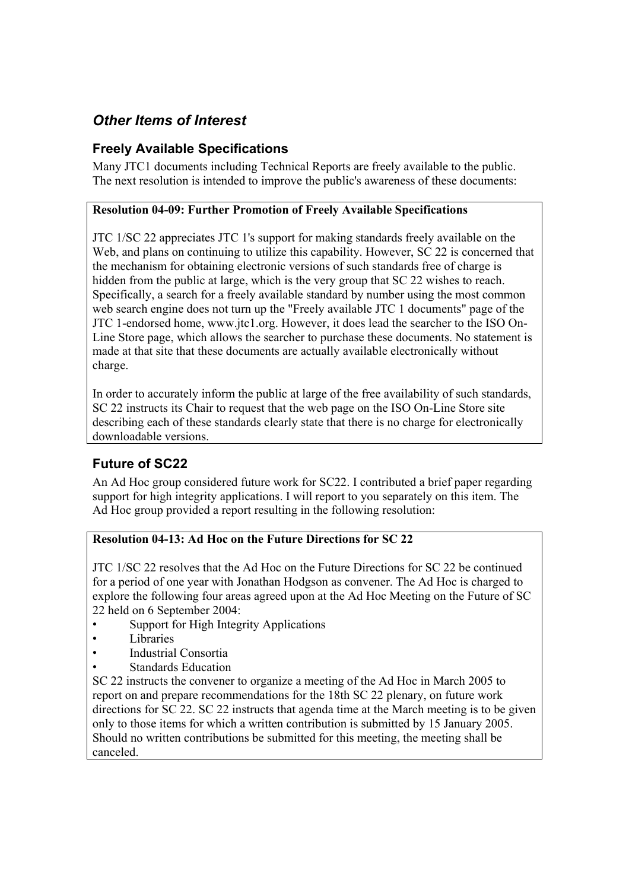# *Other Items of Interest*

### **Freely Available Specifications**

Many JTC1 documents including Technical Reports are freely available to the public. The next resolution is intended to improve the public's awareness of these documents:

#### **Resolution 04-09: Further Promotion of Freely Available Specifications**

JTC 1/SC 22 appreciates JTC 1's support for making standards freely available on the Web, and plans on continuing to utilize this capability. However, SC 22 is concerned that the mechanism for obtaining electronic versions of such standards free of charge is hidden from the public at large, which is the very group that SC 22 wishes to reach. Specifically, a search for a freely available standard by number using the most common web search engine does not turn up the "Freely available JTC 1 documents" page of the JTC 1-endorsed home, www.jtc1.org. However, it does lead the searcher to the ISO On-Line Store page, which allows the searcher to purchase these documents. No statement is made at that site that these documents are actually available electronically without charge.

In order to accurately inform the public at large of the free availability of such standards, SC 22 instructs its Chair to request that the web page on the ISO On-Line Store site describing each of these standards clearly state that there is no charge for electronically downloadable versions.

### **Future of SC22**

An Ad Hoc group considered future work for SC22. I contributed a brief paper regarding support for high integrity applications. I will report to you separately on this item. The Ad Hoc group provided a report resulting in the following resolution:

#### **Resolution 04-13: Ad Hoc on the Future Directions for SC 22**

JTC 1/SC 22 resolves that the Ad Hoc on the Future Directions for SC 22 be continued for a period of one year with Jonathan Hodgson as convener. The Ad Hoc is charged to explore the following four areas agreed upon at the Ad Hoc Meeting on the Future of SC 22 held on 6 September 2004:

- Support for High Integrity Applications
- Libraries
- Industrial Consortia
- Standards Education

SC 22 instructs the convener to organize a meeting of the Ad Hoc in March 2005 to report on and prepare recommendations for the 18th SC 22 plenary, on future work directions for SC 22. SC 22 instructs that agenda time at the March meeting is to be given only to those items for which a written contribution is submitted by 15 January 2005. Should no written contributions be submitted for this meeting, the meeting shall be canceled.